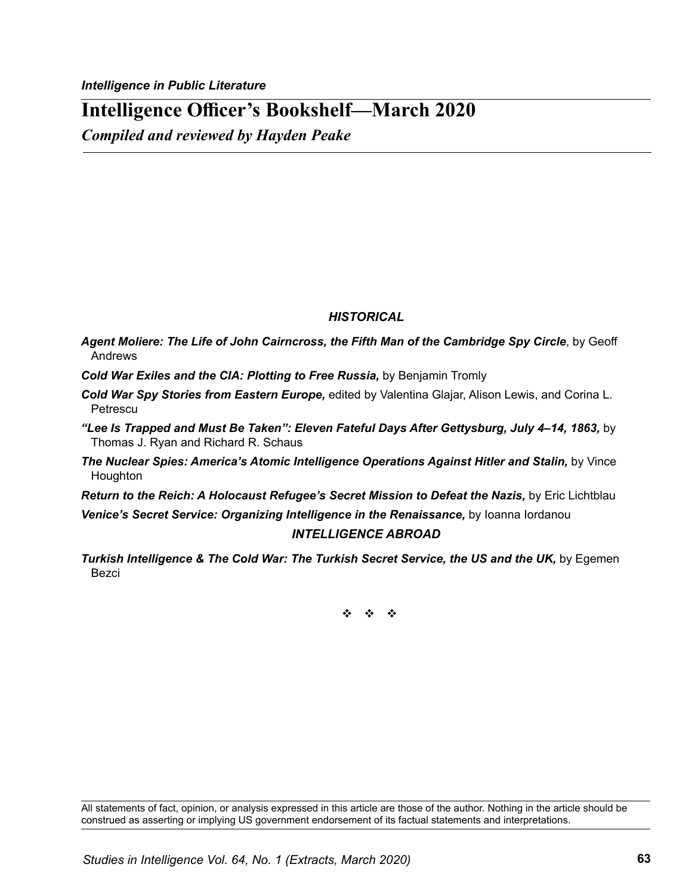# **Intelligence Officer's Bookshelf—March 2020**

*Compiled and reviewed by Hayden Peake*

## *HISTORICAL*

*Agent Moliere: The Life of John Cairncross, the Fifth Man of the Cambridge Spy Circle*, by Geoff Andrews

- *Cold War Exiles and the CIA: Plotting to Free Russia,* by Benjamin Tromly
- *Cold War Spy Stories from Eastern Europe,* edited by Valentina Glajar, Alison Lewis, and Corina L. **Petrescu**
- *"Lee Is Trapped and Must Be Taken": Eleven Fateful Days After Gettysburg, July 4–14, 1863,* by Thomas J. Ryan and Richard R. Schaus
- **The Nuclear Spies: America's Atomic Intelligence Operations Against Hitler and Stalin, by Vince** Houghton
- *Return to the Reich: A Holocaust Refugee's Secret Mission to Defeat the Nazis,* by Eric Lichtblau

**Venice's Secret Service: Organizing Intelligence in the Renaissance,** by Ioanna Iordanou

#### *INTELLIGENCE ABROAD*

**Turkish Intelligence & The Cold War: The Turkish Secret Service, the US and the UK, by Egemen** Bezci

v v v

All statements of fact, opinion, or analysis expressed in this article are those of the author. Nothing in the article should be construed as asserting or implying US government endorsement of its factual statements and interpretations.

*Studies in Intelligence Vol. 64, No. 1 (Extracts, March 2020)*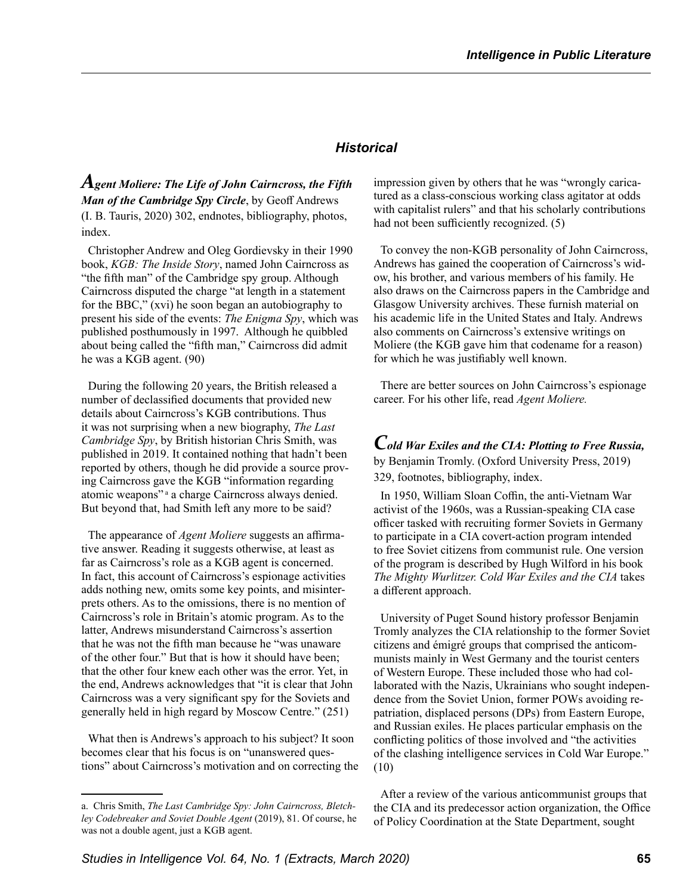### *Historical*

*Agent Moliere: The Life of John Cairncross, the Fifth Man of the Cambridge Spy Circle*, by Geoff Andrews (I. B. Tauris, 2020) 302, endnotes, bibliography, photos, index.

Christopher Andrew and Oleg Gordievsky in their 1990 book, *KGB: The Inside Story*, named John Cairncross as "the fifth man" of the Cambridge spy group. Although Cairncross disputed the charge "at length in a statement for the BBC," (xvi) he soon began an autobiography to present his side of the events: *The Enigma Spy*, which was published posthumously in 1997. Although he quibbled about being called the "fifth man," Cairncross did admit he was a KGB agent. (90)

During the following 20 years, the British released a number of declassified documents that provided new details about Cairncross's KGB contributions. Thus it was not surprising when a new biography, *The Last Cambridge Spy*, by British historian Chris Smith, was published in 2019. It contained nothing that hadn't been reported by others, though he did provide a source proving Cairncross gave the KGB "information regarding atomic weapons"<sup>a</sup> a charge Cairncross always denied. But beyond that, had Smith left any more to be said?

The appearance of *Agent Moliere* suggests an affirmative answer. Reading it suggests otherwise, at least as far as Cairncross's role as a KGB agent is concerned. In fact, this account of Cairncross's espionage activities adds nothing new, omits some key points, and misinterprets others. As to the omissions, there is no mention of Cairncross's role in Britain's atomic program. As to the latter, Andrews misunderstand Cairncross's assertion that he was not the fifth man because he "was unaware of the other four." But that is how it should have been; that the other four knew each other was the error. Yet, in the end, Andrews acknowledges that "it is clear that John Cairncross was a very significant spy for the Soviets and generally held in high regard by Moscow Centre." (251)

What then is Andrews's approach to his subject? It soon becomes clear that his focus is on "unanswered questions" about Cairncross's motivation and on correcting the impression given by others that he was "wrongly caricatured as a class-conscious working class agitator at odds with capitalist rulers" and that his scholarly contributions had not been sufficiently recognized. (5)

To convey the non-KGB personality of John Cairncross, Andrews has gained the cooperation of Cairncross's widow, his brother, and various members of his family. He also draws on the Cairncross papers in the Cambridge and Glasgow University archives. These furnish material on his academic life in the United States and Italy. Andrews also comments on Cairncross's extensive writings on Moliere (the KGB gave him that codename for a reason) for which he was justifiably well known.

There are better sources on John Cairncross's espionage career. For his other life, read *Agent Moliere.*

*Cold War Exiles and the CIA: Plotting to Free Russia,* by Benjamin Tromly. (Oxford University Press, 2019) 329, footnotes, bibliography, index.

In 1950, William Sloan Coffin, the anti-Vietnam War activist of the 1960s, was a Russian-speaking CIA case officer tasked with recruiting former Soviets in Germany to participate in a CIA covert-action program intended to free Soviet citizens from communist rule. One version of the program is described by Hugh Wilford in his book *The Mighty Wurlitzer. Cold War Exiles and the CIA* takes a different approach.

University of Puget Sound history professor Benjamin Tromly analyzes the CIA relationship to the former Soviet citizens and émigré groups that comprised the anticommunists mainly in West Germany and the tourist centers of Western Europe. These included those who had collaborated with the Nazis, Ukrainians who sought independence from the Soviet Union, former POWs avoiding repatriation, displaced persons (DPs) from Eastern Europe, and Russian exiles. He places particular emphasis on the conflicting politics of those involved and "the activities of the clashing intelligence services in Cold War Europe." (10)

After a review of the various anticommunist groups that the CIA and its predecessor action organization, the Office of Policy Coordination at the State Department, sought

a. Chris Smith, *The Last Cambridge Spy: John Cairncross, Bletchley Codebreaker and Soviet Double Agent* (2019), 81. Of course, he was not a double agent, just a KGB agent.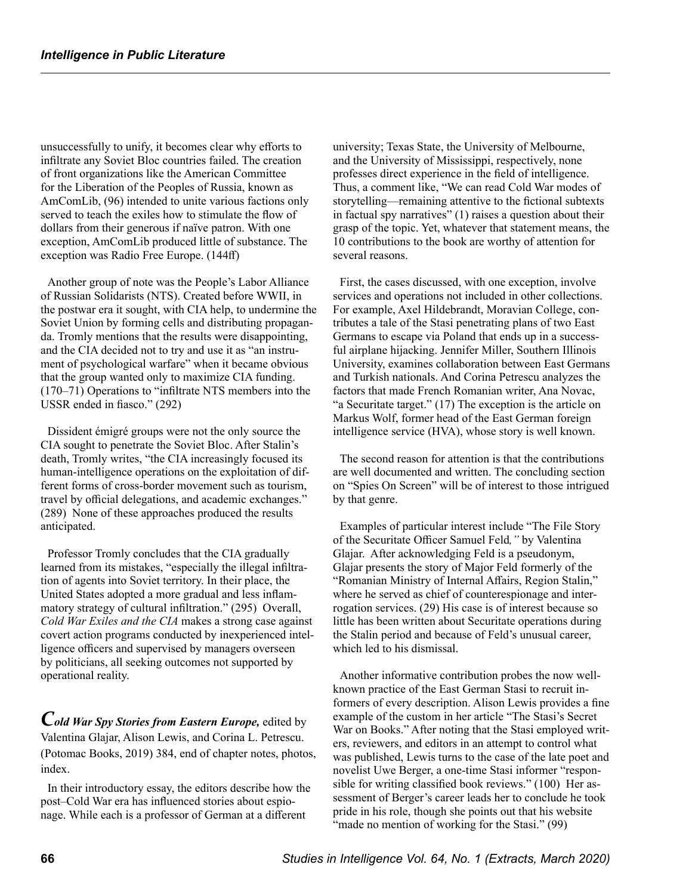unsuccessfully to unify, it becomes clear why efforts to infiltrate any Soviet Bloc countries failed. The creation of front organizations like the American Committee for the Liberation of the Peoples of Russia, known as AmComLib, (96) intended to unite various factions only served to teach the exiles how to stimulate the flow of dollars from their generous if naïve patron. With one exception, AmComLib produced little of substance. The exception was Radio Free Europe. (144ff)

Another group of note was the People's Labor Alliance of Russian Solidarists (NTS). Created before WWII, in the postwar era it sought, with CIA help, to undermine the Soviet Union by forming cells and distributing propaganda. Tromly mentions that the results were disappointing, and the CIA decided not to try and use it as "an instrument of psychological warfare" when it became obvious that the group wanted only to maximize CIA funding. (170–71) Operations to "infiltrate NTS members into the USSR ended in fiasco." (292)

Dissident émigré groups were not the only source the CIA sought to penetrate the Soviet Bloc. After Stalin's death, Tromly writes, "the CIA increasingly focused its human-intelligence operations on the exploitation of different forms of cross-border movement such as tourism, travel by official delegations, and academic exchanges." (289) None of these approaches produced the results anticipated.

Professor Tromly concludes that the CIA gradually learned from its mistakes, "especially the illegal infiltration of agents into Soviet territory. In their place, the United States adopted a more gradual and less inflammatory strategy of cultural infiltration." (295) Overall, *Cold War Exiles and the CIA* makes a strong case against covert action programs conducted by inexperienced intelligence officers and supervised by managers overseen by politicians, all seeking outcomes not supported by operational reality.

*Cold War Spy Stories from Eastern Europe,* edited by Valentina Glajar, Alison Lewis, and Corina L. Petrescu. (Potomac Books, 2019) 384, end of chapter notes, photos, index.

In their introductory essay, the editors describe how the post–Cold War era has influenced stories about espionage. While each is a professor of German at a different

university; Texas State, the University of Melbourne, and the University of Mississippi, respectively, none professes direct experience in the field of intelligence. Thus, a comment like, "We can read Cold War modes of storytelling—remaining attentive to the fictional subtexts in factual spy narratives" (1) raises a question about their grasp of the topic. Yet, whatever that statement means, the 10 contributions to the book are worthy of attention for several reasons.

First, the cases discussed, with one exception, involve services and operations not included in other collections. For example, Axel Hildebrandt, Moravian College, contributes a tale of the Stasi penetrating plans of two East Germans to escape via Poland that ends up in a successful airplane hijacking. Jennifer Miller, Southern Illinois University, examines collaboration between East Germans and Turkish nationals. And Corina Petrescu analyzes the factors that made French Romanian writer, Ana Novac, "a Securitate target." (17) The exception is the article on Markus Wolf, former head of the East German foreign intelligence service (HVA), whose story is well known.

The second reason for attention is that the contributions are well documented and written. The concluding section on "Spies On Screen" will be of interest to those intrigued by that genre.

Examples of particular interest include "The File Story of the Securitate Officer Samuel Feld*,"* by Valentina Glajar. After acknowledging Feld is a pseudonym, Glajar presents the story of Major Feld formerly of the "Romanian Ministry of Internal Affairs, Region Stalin," where he served as chief of counterespionage and interrogation services. (29) His case is of interest because so little has been written about Securitate operations during the Stalin period and because of Feld's unusual career, which led to his dismissal.

Another informative contribution probes the now wellknown practice of the East German Stasi to recruit informers of every description. Alison Lewis provides a fine example of the custom in her article "The Stasi's Secret War on Books." After noting that the Stasi employed writers, reviewers, and editors in an attempt to control what was published, Lewis turns to the case of the late poet and novelist Uwe Berger, a one-time Stasi informer "responsible for writing classified book reviews." (100) Her assessment of Berger's career leads her to conclude he took pride in his role, though she points out that his website "made no mention of working for the Stasi." (99)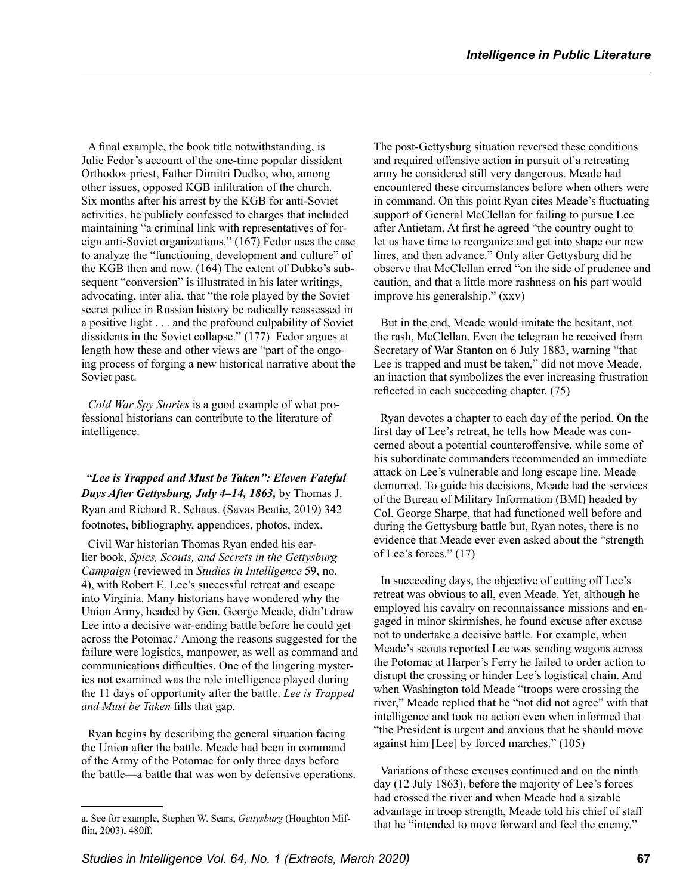A final example, the book title notwithstanding, is Julie Fedor's account of the one-time popular dissident Orthodox priest, Father Dimitri Dudko, who, among other issues, opposed KGB infiltration of the church. Six months after his arrest by the KGB for anti-Soviet activities, he publicly confessed to charges that included maintaining "a criminal link with representatives of foreign anti-Soviet organizations." (167) Fedor uses the case to analyze the "functioning, development and culture" of the KGB then and now. (164) The extent of Dubko's subsequent "conversion" is illustrated in his later writings, advocating, inter alia, that "the role played by the Soviet secret police in Russian history be radically reassessed in a positive light . . . and the profound culpability of Soviet dissidents in the Soviet collapse." (177) Fedor argues at length how these and other views are "part of the ongoing process of forging a new historical narrative about the Soviet past.

*Cold War Spy Stories* is a good example of what professional historians can contribute to the literature of intelligence.

*"Lee is Trapped and Must be Taken": Eleven Fateful Days After Gettysburg, July 4–14, 1863,* by Thomas J. Ryan and Richard R. Schaus. (Savas Beatie, 2019) 342 footnotes, bibliography, appendices, photos, index.

Civil War historian Thomas Ryan ended his earlier book, *Spies, Scouts, and Secrets in the Gettysburg Campaign* (reviewed in *Studies in Intelligence* 59, no. 4), with Robert E. Lee's successful retreat and escape into Virginia. Many historians have wondered why the Union Army, headed by Gen. George Meade, didn't draw Lee into a decisive war-ending battle before he could get across the Potomac.<sup>a</sup> Among the reasons suggested for the failure were logistics, manpower, as well as command and communications difficulties. One of the lingering mysteries not examined was the role intelligence played during the 11 days of opportunity after the battle. *Lee is Trapped and Must be Taken* fills that gap.

Ryan begins by describing the general situation facing the Union after the battle. Meade had been in command of the Army of the Potomac for only three days before the battle—a battle that was won by defensive operations. The post-Gettysburg situation reversed these conditions and required offensive action in pursuit of a retreating army he considered still very dangerous. Meade had encountered these circumstances before when others were in command. On this point Ryan cites Meade's fluctuating support of General McClellan for failing to pursue Lee after Antietam. At first he agreed "the country ought to let us have time to reorganize and get into shape our new lines, and then advance." Only after Gettysburg did he observe that McClellan erred "on the side of prudence and caution, and that a little more rashness on his part would improve his generalship." (xxv)

But in the end, Meade would imitate the hesitant, not the rash, McClellan. Even the telegram he received from Secretary of War Stanton on 6 July 1883, warning "that Lee is trapped and must be taken," did not move Meade, an inaction that symbolizes the ever increasing frustration reflected in each succeeding chapter. (75)

Ryan devotes a chapter to each day of the period. On the first day of Lee's retreat, he tells how Meade was concerned about a potential counteroffensive, while some of his subordinate commanders recommended an immediate attack on Lee's vulnerable and long escape line. Meade demurred. To guide his decisions, Meade had the services of the Bureau of Military Information (BMI) headed by Col. George Sharpe, that had functioned well before and during the Gettysburg battle but, Ryan notes, there is no evidence that Meade ever even asked about the "strength of Lee's forces." (17)

In succeeding days, the objective of cutting off Lee's retreat was obvious to all, even Meade. Yet, although he employed his cavalry on reconnaissance missions and engaged in minor skirmishes, he found excuse after excuse not to undertake a decisive battle. For example, when Meade's scouts reported Lee was sending wagons across the Potomac at Harper's Ferry he failed to order action to disrupt the crossing or hinder Lee's logistical chain. And when Washington told Meade "troops were crossing the river," Meade replied that he "not did not agree" with that intelligence and took no action even when informed that "the President is urgent and anxious that he should move against him [Lee] by forced marches." (105)

Variations of these excuses continued and on the ninth day (12 July 1863), before the majority of Lee's forces had crossed the river and when Meade had a sizable advantage in troop strength, Meade told his chief of staff that he "intended to move forward and feel the enemy."

a. See for example, Stephen W. Sears, *Gettysburg* (Houghton Mifflin, 2003), 480ff.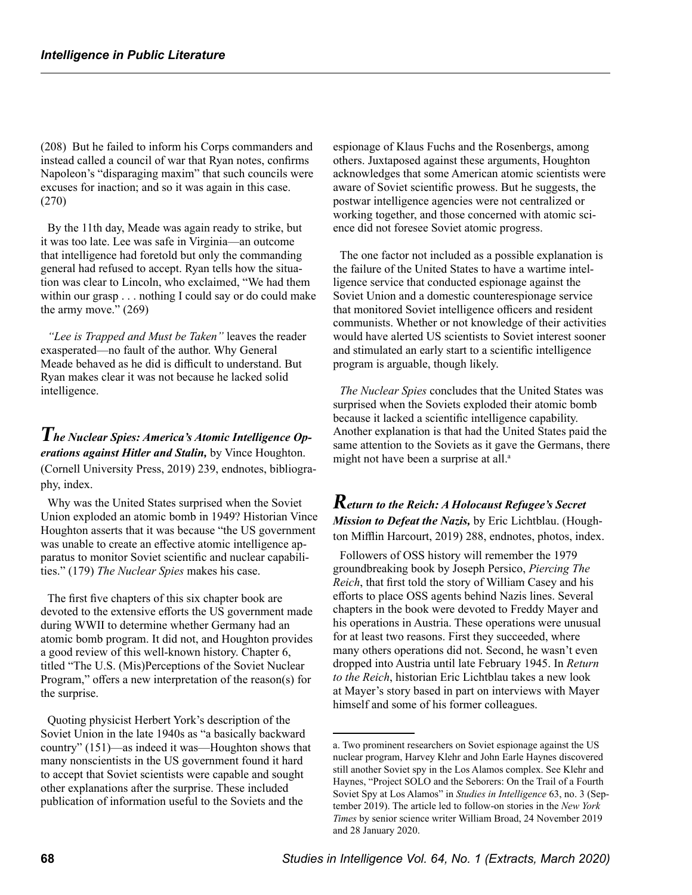(208) But he failed to inform his Corps commanders and instead called a council of war that Ryan notes, confirms Napoleon's "disparaging maxim" that such councils were excuses for inaction; and so it was again in this case. (270)

By the 11th day, Meade was again ready to strike, but it was too late. Lee was safe in Virginia—an outcome that intelligence had foretold but only the commanding general had refused to accept. Ryan tells how the situation was clear to Lincoln, who exclaimed, "We had them within our grasp . . . nothing I could say or do could make the army move." (269)

*"Lee is Trapped and Must be Taken"* leaves the reader exasperated—no fault of the author. Why General Meade behaved as he did is difficult to understand. But Ryan makes clear it was not because he lacked solid intelligence.

*The Nuclear Spies: America's Atomic Intelligence Operations against Hitler and Stalin,* by Vince Houghton. (Cornell University Press, 2019) 239, endnotes, bibliography, index.

Why was the United States surprised when the Soviet Union exploded an atomic bomb in 1949? Historian Vince Houghton asserts that it was because "the US government was unable to create an effective atomic intelligence apparatus to monitor Soviet scientific and nuclear capabilities." (179) *The Nuclear Spies* makes his case.

The first five chapters of this six chapter book are devoted to the extensive efforts the US government made during WWII to determine whether Germany had an atomic bomb program. It did not, and Houghton provides a good review of this well-known history. Chapter 6, titled "The U.S. (Mis)Perceptions of the Soviet Nuclear Program," offers a new interpretation of the reason(s) for the surprise.

Quoting physicist Herbert York's description of the Soviet Union in the late 1940s as "a basically backward country" (151)—as indeed it was—Houghton shows that many nonscientists in the US government found it hard to accept that Soviet scientists were capable and sought other explanations after the surprise. These included publication of information useful to the Soviets and the

espionage of Klaus Fuchs and the Rosenbergs, among others. Juxtaposed against these arguments, Houghton acknowledges that some American atomic scientists were aware of Soviet scientific prowess. But he suggests, the postwar intelligence agencies were not centralized or working together, and those concerned with atomic science did not foresee Soviet atomic progress.

The one factor not included as a possible explanation is the failure of the United States to have a wartime intelligence service that conducted espionage against the Soviet Union and a domestic counterespionage service that monitored Soviet intelligence officers and resident communists. Whether or not knowledge of their activities would have alerted US scientists to Soviet interest sooner and stimulated an early start to a scientific intelligence program is arguable, though likely.

*The Nuclear Spies* concludes that the United States was surprised when the Soviets exploded their atomic bomb because it lacked a scientific intelligence capability. Another explanation is that had the United States paid the same attention to the Soviets as it gave the Germans, there might not have been a surprise at all.<sup>a</sup>

*Return to the Reich: A Holocaust Refugee's Secret Mission to Defeat the Nazis,* by Eric Lichtblau. (Houghton Mifflin Harcourt, 2019) 288, endnotes, photos, index.

Followers of OSS history will remember the 1979 groundbreaking book by Joseph Persico, *Piercing The Reich*, that first told the story of William Casey and his efforts to place OSS agents behind Nazis lines. Several chapters in the book were devoted to Freddy Mayer and his operations in Austria. These operations were unusual for at least two reasons. First they succeeded, where many others operations did not. Second, he wasn't even dropped into Austria until late February 1945. In *Return to the Reich*, historian Eric Lichtblau takes a new look at Mayer's story based in part on interviews with Mayer himself and some of his former colleagues.

a. Two prominent researchers on Soviet espionage against the US nuclear program, Harvey Klehr and John Earle Haynes discovered still another Soviet spy in the Los Alamos complex. See Klehr and Haynes, "Project SOLO and the Seborers: On the Trail of a Fourth Soviet Spy at Los Alamos" in *Studies in Intelligence* 63, no. 3 (September 2019). The article led to follow-on stories in the *New York Times* by senior science writer William Broad, 24 November 2019 and 28 January 2020.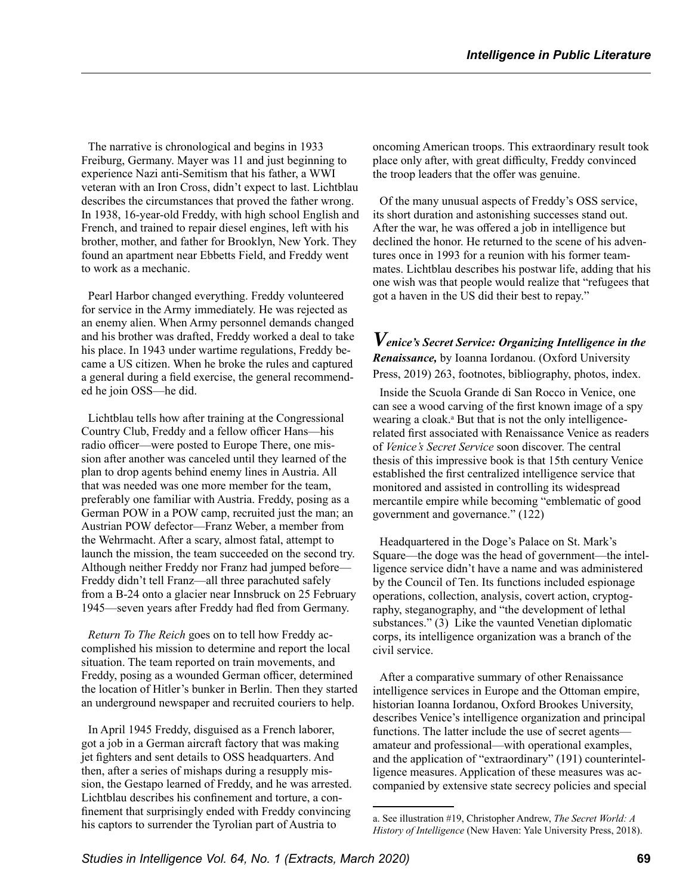The narrative is chronological and begins in 1933 Freiburg, Germany. Mayer was 11 and just beginning to experience Nazi anti-Semitism that his father, a WWI veteran with an Iron Cross, didn't expect to last. Lichtblau describes the circumstances that proved the father wrong. In 1938, 16-year-old Freddy, with high school English and French, and trained to repair diesel engines, left with his brother, mother, and father for Brooklyn, New York. They found an apartment near Ebbetts Field, and Freddy went to work as a mechanic.

Pearl Harbor changed everything. Freddy volunteered for service in the Army immediately. He was rejected as an enemy alien. When Army personnel demands changed and his brother was drafted, Freddy worked a deal to take his place. In 1943 under wartime regulations, Freddy became a US citizen. When he broke the rules and captured a general during a field exercise, the general recommended he join OSS—he did.

Lichtblau tells how after training at the Congressional Country Club, Freddy and a fellow officer Hans—his radio officer—were posted to Europe There, one mission after another was canceled until they learned of the plan to drop agents behind enemy lines in Austria. All that was needed was one more member for the team, preferably one familiar with Austria. Freddy, posing as a German POW in a POW camp, recruited just the man; an Austrian POW defector—Franz Weber, a member from the Wehrmacht. After a scary, almost fatal, attempt to launch the mission, the team succeeded on the second try. Although neither Freddy nor Franz had jumped before— Freddy didn't tell Franz—all three parachuted safely from a B-24 onto a glacier near Innsbruck on 25 February 1945—seven years after Freddy had fled from Germany.

*Return To The Reich* goes on to tell how Freddy accomplished his mission to determine and report the local situation. The team reported on train movements, and Freddy, posing as a wounded German officer, determined the location of Hitler's bunker in Berlin. Then they started an underground newspaper and recruited couriers to help.

In April 1945 Freddy, disguised as a French laborer, got a job in a German aircraft factory that was making jet fighters and sent details to OSS headquarters. And then, after a series of mishaps during a resupply mission, the Gestapo learned of Freddy, and he was arrested. Lichtblau describes his confinement and torture, a confinement that surprisingly ended with Freddy convincing his captors to surrender the Tyrolian part of Austria to

oncoming American troops. This extraordinary result took place only after, with great difficulty, Freddy convinced the troop leaders that the offer was genuine.

Of the many unusual aspects of Freddy's OSS service, its short duration and astonishing successes stand out. After the war, he was offered a job in intelligence but declined the honor. He returned to the scene of his adventures once in 1993 for a reunion with his former teammates. Lichtblau describes his postwar life, adding that his one wish was that people would realize that "refugees that got a haven in the US did their best to repay."

*Venice's Secret Service: Organizing Intelligence in the Renaissance,* by Ioanna Iordanou. (Oxford University Press, 2019) 263, footnotes, bibliography, photos, index.

Inside the Scuola Grande di San Rocco in Venice, one can see a wood carving of the first known image of a spy wearing a cloak.<sup>a</sup> But that is not the only intelligencerelated first associated with Renaissance Venice as readers of *Venice's Secret Service* soon discover. The central thesis of this impressive book is that 15th century Venice established the first centralized intelligence service that monitored and assisted in controlling its widespread mercantile empire while becoming "emblematic of good government and governance." (122)

Headquartered in the Doge's Palace on St. Mark's Square—the doge was the head of government—the intelligence service didn't have a name and was administered by the Council of Ten. Its functions included espionage operations, collection, analysis, covert action, cryptography, steganography, and "the development of lethal substances." (3) Like the vaunted Venetian diplomatic corps, its intelligence organization was a branch of the civil service.

After a comparative summary of other Renaissance intelligence services in Europe and the Ottoman empire, historian Ioanna Iordanou, Oxford Brookes University, describes Venice's intelligence organization and principal functions. The latter include the use of secret agents amateur and professional—with operational examples, and the application of "extraordinary" (191) counterintelligence measures. Application of these measures was accompanied by extensive state secrecy policies and special

a. See illustration #19, Christopher Andrew, *The Secret World: A History of Intelligence* (New Haven: Yale University Press, 2018).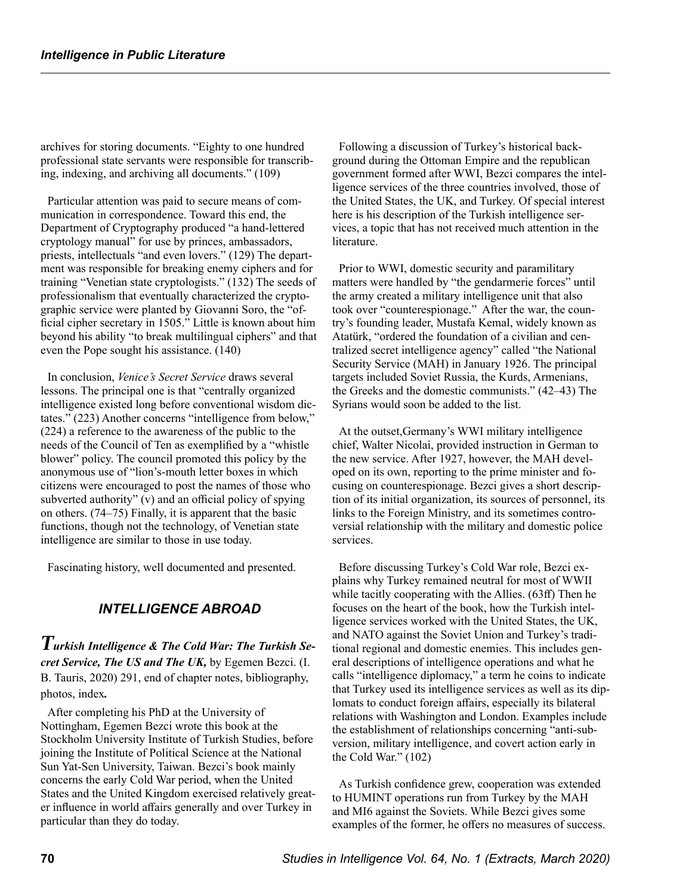archives for storing documents. "Eighty to one hundred professional state servants were responsible for transcribing, indexing, and archiving all documents." (109)

Particular attention was paid to secure means of communication in correspondence. Toward this end, the Department of Cryptography produced "a hand-lettered cryptology manual" for use by princes, ambassadors, priests, intellectuals "and even lovers." (129) The department was responsible for breaking enemy ciphers and for training "Venetian state cryptologists." (132) The seeds of professionalism that eventually characterized the cryptographic service were planted by Giovanni Soro, the "official cipher secretary in 1505." Little is known about him beyond his ability "to break multilingual ciphers" and that even the Pope sought his assistance. (140)

In conclusion, *Venice's Secret Service* draws several lessons. The principal one is that "centrally organized intelligence existed long before conventional wisdom dictates." (223) Another concerns "intelligence from below," (224) a reference to the awareness of the public to the needs of the Council of Ten as exemplified by a "whistle blower" policy. The council promoted this policy by the anonymous use of "lion's-mouth letter boxes in which citizens were encouraged to post the names of those who subverted authority" (v) and an official policy of spying on others. (74–75) Finally, it is apparent that the basic functions, though not the technology, of Venetian state intelligence are similar to those in use today.

Fascinating history, well documented and presented.

#### *INTELLIGENCE ABROAD*

*Turkish Intelligence & The Cold War: The Turkish Secret Service, The US and The UK,* by Egemen Bezci. (I. B. Tauris, 2020) 291, end of chapter notes, bibliography, photos, index*.*

After completing his PhD at the University of Nottingham, Egemen Bezci wrote this book at the Stockholm University Institute of Turkish Studies, before joining the Institute of Political Science at the National Sun Yat-Sen University, Taiwan. Bezci's book mainly concerns the early Cold War period, when the United States and the United Kingdom exercised relatively greater influence in world affairs generally and over Turkey in particular than they do today.

Following a discussion of Turkey's historical background during the Ottoman Empire and the republican government formed after WWI, Bezci compares the intelligence services of the three countries involved, those of the United States, the UK, and Turkey. Of special interest here is his description of the Turkish intelligence services, a topic that has not received much attention in the literature.

Prior to WWI, domestic security and paramilitary matters were handled by "the gendarmerie forces" until the army created a military intelligence unit that also took over "counterespionage." After the war, the country's founding leader, Mustafa Kemal, widely known as Atatürk, "ordered the foundation of a civilian and centralized secret intelligence agency" called "the National Security Service (MAH) in January 1926. The principal targets included Soviet Russia, the Kurds, Armenians, the Greeks and the domestic communists." (42–43) The Syrians would soon be added to the list.

At the outset,Germany's WWI military intelligence chief, Walter Nicolai, provided instruction in German to the new service. After 1927, however, the MAH developed on its own, reporting to the prime minister and focusing on counterespionage. Bezci gives a short description of its initial organization, its sources of personnel, its links to the Foreign Ministry, and its sometimes controversial relationship with the military and domestic police services.

Before discussing Turkey's Cold War role, Bezci explains why Turkey remained neutral for most of WWII while tacitly cooperating with the Allies. (63ff) Then he focuses on the heart of the book, how the Turkish intelligence services worked with the United States, the UK, and NATO against the Soviet Union and Turkey's traditional regional and domestic enemies. This includes general descriptions of intelligence operations and what he calls "intelligence diplomacy," a term he coins to indicate that Turkey used its intelligence services as well as its diplomats to conduct foreign affairs, especially its bilateral relations with Washington and London. Examples include the establishment of relationships concerning "anti-subversion, military intelligence, and covert action early in the Cold War." (102)

As Turkish confidence grew, cooperation was extended to HUMINT operations run from Turkey by the MAH and MI6 against the Soviets. While Bezci gives some examples of the former, he offers no measures of success.